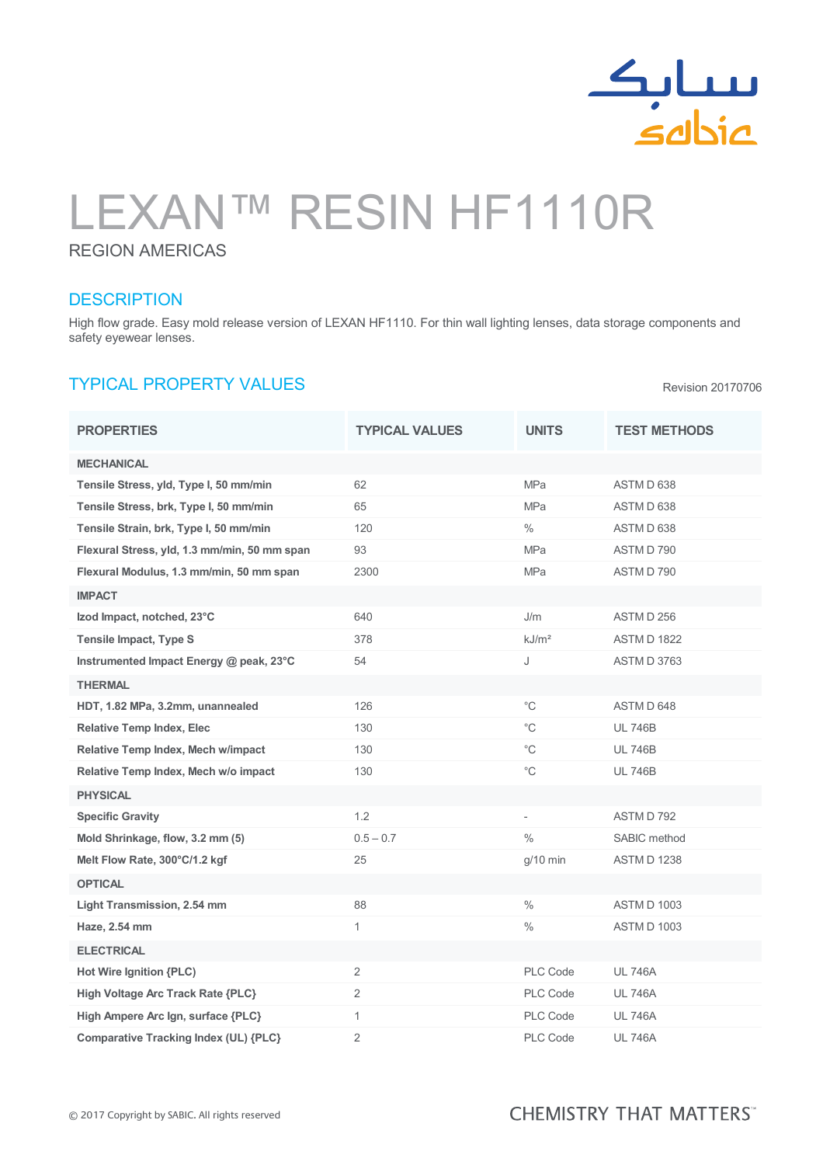

Revision 20170706

# LEXAN™ RESIN HF1110R

#### REGION AMERICAS

### **DESCRIPTION**

High flow grade. Easy mold release version of LEXAN HF1110. For thin wall lighting lenses, data storage components and safety eyewear lenses.

## TYPICAL PROPERTY VALUES

PROPERTIES TEST TYPICAL VALUES UNITS TEST METHODS MECHANICAL Tensile Stress, yld, Type I, 50 mm/min 62 62 MPa MPa ASTM D 638 Tensile Stress, brk, Type I, 50 mm/min 65 65 MPa MPa ASTM D 638 Tensile Strain, brk, Type I, 50 mm/min 120  $\%$  ASTM D 638 Flexural Stress, yld, 1.3 mm/min, 50 mm span 93 93 MPa MPa ASTM D 790 Flexural Modulus, 1.3 mm/min, 50 mm span 2300 MPa ASTM D 790 IMPACT Izod Impact, notched, 23°C 640 J/m ASTM D 256 Tensile Impact, Type S 378 378 kJ/m<sup>2</sup> ASTM D 1822 Instrumented Impact Energy @ peak, 23°C 54 J ASTM D 3763 **THERMAL** HDT, 1.82 MPa, 3.2mm, unannealed 126 °C ASTM D 648 Relative Temp Index, Elec 130 130 C C UL 746B Relative Temp Index, Mech w/impact 130 and 130 control 130 control 146B Relative Temp Index, Mech w/o impact 130 130 C C UL 746B PHYSICAL Specific Gravity **1.2** 1.2 - ASTM D 792 Mold Shrinkage, flow, 3.2 mm (5) 0.5 – 0.7 (1999) 0.5 – 0.7 (1999) 9.5 Mold Shrinkage, flow, 3.2 mm (5) Melt Flow Rate, 300°C/1.2 kgf 25 25 and 25 g/10 min ASTM D 1238 **OPTICAL** Light Transmission, 2.54 mm 88 8 % ASTM D 1003 **Haze, 2.54 mm** 1  $\frac{1}{2}$  ASTM D 1003 **ELECTRICAL** Hot Wire Ignition  ${PLC}$  2 2 PLC Code UL 746A High Voltage Arc Track Rate {PLC} 2 PLC Code UL 746A High Ampere Arc Ign, surface {PLC} 1 1 PLC Code UL 746A Comparative Tracking Index (UL) {PLC} 2 2 PLC Code UL 746A

## **CHEMISTRY THAT MATTERS**